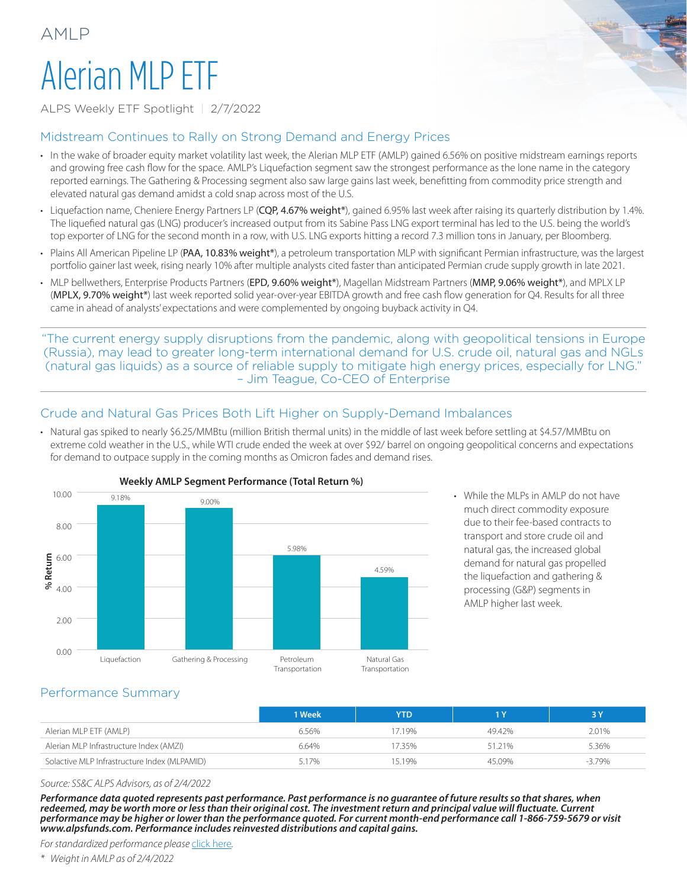# Alerian MLP ETF

AMLP

ALPS Weekly ETF Spotlight | 2/7/2022

#### Midstream Continues to Rally on Strong Demand and Energy Prices

- In the wake of broader equity market volatility last week, the Alerian MLP ETF (AMLP) gained 6.56% on positive midstream earnings reports and growing free cash flow for the space. AMLP's Liquefaction segment saw the strongest performance as the lone name in the category reported earnings. The Gathering & Processing segment also saw large gains last week, benefitting from commodity price strength and elevated natural gas demand amidst a cold snap across most of the U.S.
- Liquefaction name, Cheniere Energy Partners LP (CQP, 4.67% weight\*), gained 6.95% last week after raising its quarterly distribution by 1.4%. The liquefied natural gas (LNG) producer's increased output from its Sabine Pass LNG export terminal has led to the U.S. being the world's top exporter of LNG for the second month in a row, with U.S. LNG exports hitting a record 7.3 million tons in January, per Bloomberg.
- Plains All American Pipeline LP (PAA, 10.83% weight\*), a petroleum transportation MLP with significant Permian infrastructure, was the largest portfolio gainer last week, rising nearly 10% after multiple analysts cited faster than anticipated Permian crude supply growth in late 2021.
- MLP bellwethers, Enterprise Products Partners (EPD, 9.60% weight\*), Magellan Midstream Partners (MMP, 9.06% weight\*), and MPLX LP (MPLX, 9.70% weight\*) last week reported solid year-over-year EBITDA growth and free cash flow generation for Q4. Results for all three came in ahead of analysts' expectations and were complemented by ongoing buyback activity in Q4.

"The current energy supply disruptions from the pandemic, along with geopolitical tensions in Europe (Russia), may lead to greater long-term international demand for U.S. crude oil, natural gas and NGLs (natural gas liquids) as a source of reliable supply to mitigate high energy prices, especially for LNG." – Jim Teague, Co-CEO of Enterprise

### Crude and Natural Gas Prices Both Lift Higher on Supply-Demand Imbalances

• Natural gas spiked to nearly \$6.25/MMBtu (million British thermal units) in the middle of last week before settling at \$4.57/MMBtu on extreme cold weather in the U.S., while WTI crude ended the week at over \$92/ barrel on ongoing geopolitical concerns and expectations for demand to outpace supply in the coming months as Omicron fades and demand rises.



• While the MLPs in AMLP do not have much direct commodity exposure due to their fee-based contracts to transport and store crude oil and natural gas, the increased global demand for natural gas propelled the liquefaction and gathering & processing (G&P) segments in AMLP higher last week.

### Performance Summary

|                                              | 1 Week | <b>YTD</b> |        |          |
|----------------------------------------------|--------|------------|--------|----------|
| Alerian MLP ETF (AMLP)                       | 6.56%  | 17.19%     | 49.42% | 2.01%    |
| Alerian MLP Infrastructure Index (AMZI)      | 6.64%  | 7.35%      | 51.21% | 5.36%    |
| Solactive MLP Infrastructure Index (MLPAMID) | 517%   | 1519%      | 45.09% | $-3.79%$ |

*Source: SS&C ALPS Advisors, as of 2/4/2022*

*Performance data quoted represents past performance. Past performance is no guarantee of future results so that shares, when redeemed, may be worth more or less than their original cost. The investment return and principal value will fluctuate. Current performance may be higher or lower than the performance quoted. For current month-end performance call 1-866-759-5679 or visit www.alpsfunds.com. Performance includes reinvested distributions and capital gains.*

*For standardized performance please* [click here](https://www.alpsfunds.com/products/etf/AMLP)*.*

*\* Weight in AMLP as of 2/4/2022*